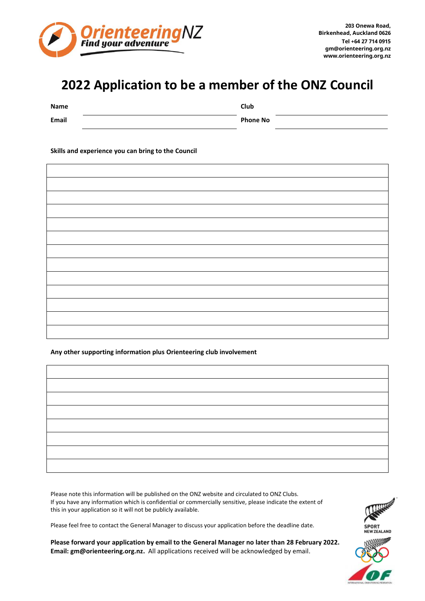

## **2022 Application to be a member of the ONZ Council**

| Name         | Club            |  |
|--------------|-----------------|--|
| <b>Email</b> | <b>Phone No</b> |  |

**Skills and experience you can bring to the Council**

## **Any other supporting information plus Orienteering club involvement**

Please note this information will be published on the ONZ website and circulated to ONZ Clubs. If you have any information which is confidential or commercially sensitive, please indicate the extent of this in your application so it will not be publicly available.

Please feel free to contact the General Manager to discuss your application before the deadline date.

**Please forward your application by email to the General Manager no later than 28 February 2022. Email: [gm@orienteering.org.nz.](mailto:gm@orienteering.org.nz)** All applications received will be acknowledged by email.